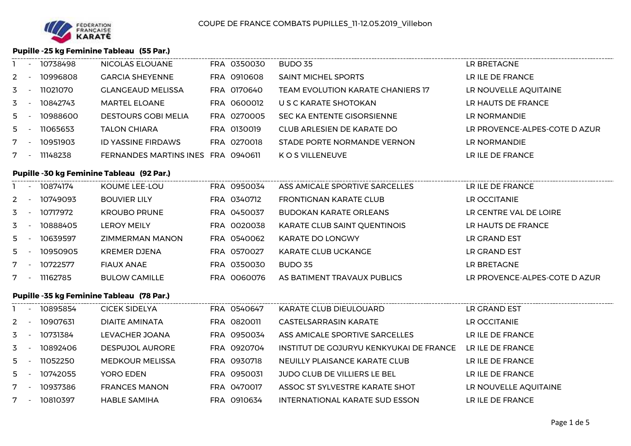# **Pupille -25 kg Feminine Tableau (55 Par.)**

|       | $\overline{\phantom{a}}$ | 10738498 | NICOLAS ELOUANE                    | FRA 0350030 | BUDO 35                           | LR BRETAGNE                   |
|-------|--------------------------|----------|------------------------------------|-------------|-----------------------------------|-------------------------------|
| $2 -$ |                          | 10996808 | <b>GARCIA SHEYENNE</b>             | FRA 0910608 | <b>SAINT MICHEL SPORTS</b>        | LR ILE DE FRANCE              |
| $3 -$ |                          | 11021070 | <b>GLANGEAUD MELISSA</b>           | FRA 0170640 | TEAM EVOLUTION KARATE CHANIERS 17 | LR NOUVELLE AQUITAINE         |
| $3 -$ |                          | 10842743 | <b>MARTEL ELOANE</b>               | FRA 0600012 | U S C KARATE SHOTOKAN             | LR HAUTS DE FRANCE            |
| $5 -$ |                          | 10988600 | <b>DESTOURS GOBI MELIA</b>         | FRA 0270005 | SEC KA ENTENTE GISORSIENNE        | LR NORMANDIE                  |
| $5 -$ |                          | 11065653 | <b>TALON CHIARA</b>                | FRA 0130019 | CLUB ARLESIEN DE KARATE DO        | LR PROVENCE-ALPES-COTE D AZUR |
|       |                          | 10951903 | <b>ID YASSINE FIRDAWS</b>          | FRA 0270018 | STADE PORTE NORMANDE VERNON       | LR NORMANDIE                  |
|       |                          | 11148238 | FERNANDES MARTINS INES FRA 0940611 |             | K O S VILLENEUVE                  | LR ILE DE FRANCE              |
|       |                          |          |                                    |             |                                   |                               |

## **Pupille -30 kg Feminine Tableau (92 Par.)**

|       | 10874174 | KOUME LEE-LOU          | FRA 0950034 | ASS AMICALE SPORTIVE SARCELLES | LR ILE DE FRANCE              |
|-------|----------|------------------------|-------------|--------------------------------|-------------------------------|
| $2 -$ | 10749093 | <b>BOUVIER LILY</b>    | FRA 0340712 | <b>FRONTIGNAN KARATE CLUB</b>  | LR OCCITANIE                  |
| $3 -$ | 10717972 | <b>KROUBO PRUNE</b>    | FRA 0450037 | BUDOKAN KARATE ORLEANS         | LR CENTRE VAL DE LOIRE        |
| $3 -$ | 10888405 | <b>LEROY MEILY</b>     | FRA 0020038 | KARATE CLUB SAINT QUENTINOIS   | LR HAUTS DE FRANCE            |
| $5 -$ | 10639597 | <b>ZIMMERMAN MANON</b> | FRA 0540062 | <b>KARATE DO LONGWY</b>        | LR GRAND EST                  |
| $5 -$ | 10950905 | <b>KREMER DJENA</b>    | FRA 0570027 | KARATE CLUB UCKANGE            | LR GRAND EST                  |
|       | 10722577 | <b>FIAUX ANAE</b>      | FRA 0350030 | BUDO 35                        | LR BRETAGNE                   |
|       | 11162785 | <b>BULOW CAMILLE</b>   | FRA 0060076 | AS BATIMENT TRAVAUX PUBLICS    | LR PROVENCE-ALPES-COTE D AZUR |
|       |          |                        |             |                                |                               |

#### **Pupille -35 kg Feminine Tableau (78 Par.)**

|       | $\overline{\phantom{a}}$ | 10895854 | <b>CICEK SIDELYA</b>   | FRA 0540647 | KARATE CLUB DIEULOUARD                  | LR GRAND EST          |
|-------|--------------------------|----------|------------------------|-------------|-----------------------------------------|-----------------------|
| 2     |                          | 10907631 | <b>DIAITE AMINATA</b>  | FRA 0820011 | <b>CASTELSARRASIN KARATE</b>            | LR OCCITANIE          |
| 3     |                          | 10731384 | LEVACHER JOANA         | FRA 0950034 | ASS AMICALE SPORTIVE SARCELLES          | LR ILE DE FRANCE      |
| 3     |                          | 10892406 | <b>DESPUJOL AURORE</b> | FRA 0920704 | INSTITUT DE GOJURYU KENKYUKAI DE FRANCE | LR ILE DE FRANCE      |
| 5.    |                          | 11052250 | <b>MEDKOUR MELISSA</b> | FRA 0930718 | NEUILLY PLAISANCE KARATE CLUB           | LR ILE DE FRANCE      |
| $5 -$ |                          | 10742055 | YORO EDEN              | FRA 0950031 | JUDO CLUB DE VILLIERS LE BEL            | LR ILE DE FRANCE      |
|       | $\overline{\phantom{0}}$ | 10937386 | <b>FRANCES MANON</b>   | FRA 0470017 | ASSOC ST SYLVESTRE KARATE SHOT          | LR NOUVELLE AQUITAINE |
|       |                          | 10810397 | <b>HABLE SAMIHA</b>    | FRA 0910634 | INTERNATIONAL KARATE SUD ESSON          | LR ILE DE FRANCE      |
|       |                          |          |                        |             |                                         |                       |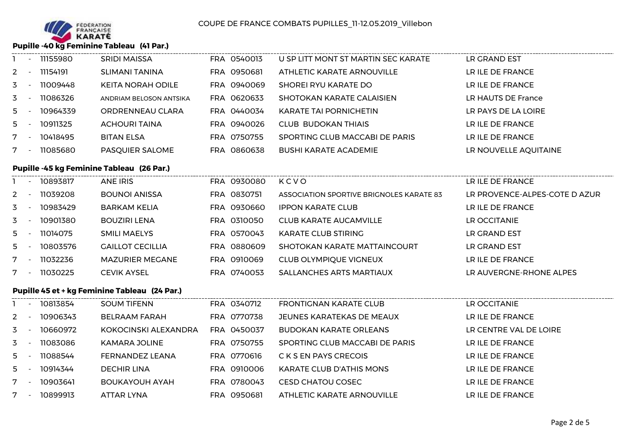

# **Pupille -40 kg Feminine Tableau (41 Par.)**

|       | 11155980 | <b>SRIDI MAISSA</b>      | FRA 0540013 | U SP LITT MONT ST MARTIN SEC KARATE | LR GRAND EST          |
|-------|----------|--------------------------|-------------|-------------------------------------|-----------------------|
| $2 -$ | 11154191 | <b>SLIMANI TANINA</b>    | FRA 0950681 | ATHLETIC KARATE ARNOUVILLE          | LR ILE DE FRANCE      |
| $3 -$ | 11009448 | <b>KEITA NORAH ODILE</b> | FRA 0940069 | SHOREI RYU KARATE DO                | LR ILE DE FRANCE      |
| $3 -$ | 11086326 | ANDRIAM BELOSON ANTSIKA  | FRA 0620633 | SHOTOKAN KARATE CALAISIEN           | LR HAUTS DE France    |
| $5 -$ | 10964339 | ORDRENNEAU CLARA         | FRA 0440034 | <b>KARATE TAI PORNICHETIN</b>       | LR PAYS DE LA LOIRE   |
| $5 -$ | 10911325 | <b>ACHOURI TAINA</b>     | FRA 0940026 | <b>CLUB BUDOKAN THIAIS</b>          | LR ILE DE FRANCE      |
|       | 10418495 | <b>BITAN ELSA</b>        | FRA 0750755 | SPORTING CLUB MACCABI DE PARIS      | LR ILE DE FRANCE      |
|       | 11085680 | PASQUIER SALOME          | FRA 0860638 | <b>BUSHI KARATE ACADEMIE</b>        | LR NOUVELLE AQUITAINE |

# **Pupille -45 kg Feminine Tableau (26 Par.)**

|       | 10893817 | <b>ANE IRIS</b>         | FRA 0930080 | KCVO                                     | LR ILE DE FRANCE              |
|-------|----------|-------------------------|-------------|------------------------------------------|-------------------------------|
| $2 -$ | 11039208 | <b>BOUNOI ANISSA</b>    | FRA 0830751 | ASSOCIATION SPORTIVE BRIGNOLES KARATE 83 | LR PROVENCE-ALPES-COTE D AZUR |
| $3 -$ | 10983429 | <b>BARKAM KELIA</b>     | FRA 0930660 | <b>IPPON KARATE CLUB</b>                 | LR ILE DE FRANCE              |
| $3 -$ | 10901380 | <b>BOUZIRI LENA</b>     | FRA 0310050 | <b>CLUB KARATE AUCAMVILLE</b>            | LR OCCITANIE                  |
| $5 -$ | 11014075 | <b>SMILI MAELYS</b>     | FRA 0570043 | KARATE CLUB STIRING                      | LR GRAND EST                  |
| $5 -$ | 10803576 | <b>GAILLOT CECILLIA</b> | FRA 0880609 | SHOTOKAN KARATE MATTAINCOURT             | LR GRAND EST                  |
|       | 11032236 | <b>MAZURIER MEGANE</b>  | FRA 0910069 | <b>CLUB OLYMPIQUE VIGNEUX</b>            | LR ILE DE FRANCE              |
|       | 11030225 | <b>CEVIK AYSEL</b>      | FRA 0740053 | <b>SALLANCHES ARTS MARTIAUX</b>          | LR AUVERGNE-RHONE ALPES       |
|       |          |                         |             |                                          |                               |

### **Pupille 45 et + kg Feminine Tableau (24 Par.)**

|                | 10813854 | <b>SOUM TIFENN</b>    | FRA 0340712 | FRONTIGNAN KARATE CLUB          | <b>LR OCCITANIE</b>    |
|----------------|----------|-----------------------|-------------|---------------------------------|------------------------|
| $\overline{2}$ | 10906343 | <b>BELRAAM FARAH</b>  | FRA 0770738 | JEUNES KARATEKAS DE MEAUX       | LR ILE DE FRANCE       |
| 3              | 10660972 | KOKOCINSKI ALEXANDRA  | FRA 0450037 | <b>BUDOKAN KARATE ORLEANS</b>   | LR CENTRE VAL DE LOIRE |
| 3              | 11083086 | KAMARA JOLINE         | FRA 0750755 | SPORTING CLUB MACCABI DE PARIS  | LR ILE DE FRANCE       |
| 5              | 11088544 | FERNANDEZ LEANA       | FRA 0770616 | C K S EN PAYS CRECOIS           | LR ILE DE FRANCE       |
| 5              | 10914344 | DECHIR LINA           | FRA 0910006 | <b>KARATE CLUB D'ATHIS MONS</b> | LR ILE DE FRANCE       |
|                | 10903641 | <b>BOUKAYOUH AYAH</b> | FRA 0780043 | CESD CHATOU COSEC               | LR ILE DE FRANCE       |
|                | 10899913 | ATTAR LYNA            | FRA 0950681 | ATHLETIC KARATE ARNOUVILLE      | LR ILE DE FRANCE       |
|                |          |                       |             |                                 |                        |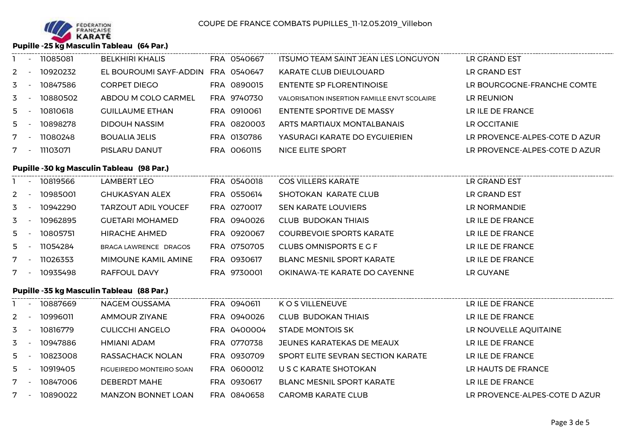

# **Pupille -25 kg Masculin Tableau (64 Par.)**

|       | 11085081 | <b>BELKHIRI KHALIS</b> | FRA 0540667 | ITSUMO TEAM SAINT JEAN LES LONGUYON          | LR GRAND EST                  |
|-------|----------|------------------------|-------------|----------------------------------------------|-------------------------------|
| $2 -$ | 10920232 | EL BOUROUMI SAYF-ADDIN | FRA 0540647 | KARATE CLUB DIEULOUARD                       | LR GRAND EST                  |
| $3 -$ | 10847586 | CORPET DIEGO           | FRA 0890015 | <b>ENTENTE SP FLORENTINOISE</b>              | LR BOURGOGNE-FRANCHE COMTE    |
| $3 -$ | 10880502 | ABDOU M COLO CARMEL    | FRA 9740730 | VALORISATION INSERTION FAMILLE ENVT SCOLAIRE | LR REUNION                    |
| $5 -$ | 10810618 | <b>GUILLAUME ETHAN</b> | FRA 0910061 | ENTENTE SPORTIVE DE MASSY                    | LR ILE DE FRANCE              |
| $5 -$ | 10898278 | <b>DIDOUH NASSIM</b>   | FRA 0820003 | ARTS MARTIAUX MONTALBANAIS                   | LR OCCITANIE                  |
|       | 11080248 | <b>BOUALIA JELIS</b>   | FRA 0130786 | YASURAGI KARATE DO EYGUIERIEN                | LR PROVENCE-ALPES-COTE D AZUR |
|       | 11103071 | PISLARU DANUT          | FRA 0060115 | NICE ELITE SPORT                             | LR PROVENCE-ALPES-COTE D AZUR |

# **Pupille -30 kg Masculin Tableau (98 Par.)**

|       | 10819566 | LAMBERT LEO                | FRA 0540018 | <b>COS VILLERS KARATE</b>        | LR GRAND EST     |
|-------|----------|----------------------------|-------------|----------------------------------|------------------|
| $2 -$ | 10985001 | <b>GHUKASYAN ALEX</b>      | FRA 0550614 | SHOTOKAN KARATE CLUB             | LR GRAND EST     |
| $3 -$ | 10942290 | <b>TARZOUT ADIL YOUCEF</b> | FRA 0270017 | <b>SEN KARATE LOUVIERS</b>       | LR NORMANDIE     |
| $3 -$ | 10962895 | <b>GUETARI MOHAMED</b>     | FRA 0940026 | <b>CLUB BUDOKAN THIAIS</b>       | LR ILE DE FRANCE |
| $5 -$ | 10805751 | HIRACHE AHMED              | FRA 0920067 | COURBEVOIE SPORTS KARATE         | LR ILE DE FRANCE |
| $5 -$ | 11054284 | BRAGA LAWRENCE DRAGOS      | FRA 0750705 | CLUBS OMNISPORTS E G F           | LR ILE DE FRANCE |
|       | 11026353 | MIMOUNE KAMIL AMINE        | FRA 0930617 | <b>BLANC MESNIL SPORT KARATE</b> | LR ILE DE FRANCE |
|       | 10935498 | RAFFOUL DAVY               | FRA 9730001 | OKINAWA-TE KARATE DO CAYENNE     | LR GUYANE        |

### **Pupille -35 kg Masculin Tableau (88 Par.)**

|             | $\overline{\phantom{a}}$ | 10887669 | NAGEM OUSSAMA             | FRA 0940611 | K O S VILLENEUVE                  | LR ILE DE FRANCE              |
|-------------|--------------------------|----------|---------------------------|-------------|-----------------------------------|-------------------------------|
| $2^{\circ}$ |                          | 10996011 | AMMOUR ZIYANE             | FRA 0940026 | <b>CLUB BUDOKAN THIAIS</b>        | LR ILE DE FRANCE              |
| 3           |                          | 10816779 | <b>CULICCHI ANGELO</b>    | FRA 0400004 | <b>STADE MONTOIS SK</b>           | LR NOUVELLE AQUITAINE         |
| 3           |                          | 10947886 | HMIANI ADAM               | FRA 0770738 | JEUNES KARATEKAS DE MEAUX         | LR ILE DE FRANCE              |
| 5.          |                          | 10823008 | RASSACHACK NOLAN          | FRA 0930709 | SPORT ELITE SEVRAN SECTION KARATE | LR ILE DE FRANCE              |
| $5 -$       |                          | 10919405 | FIGUEIREDO MONTEIRO SOAN  | FRA 0600012 | U S C KARATE SHOTOKAN             | LR HAUTS DE FRANCE            |
| 7           |                          | 10847006 | <b>DEBERDT MAHE</b>       | FRA 0930617 | <b>BLANC MESNIL SPORT KARATE</b>  | LR ILE DE FRANCE              |
|             |                          | 10890022 | <b>MANZON BONNET LOAN</b> | FRA 0840658 | CAROMB KARATE CLUB                | LR PROVENCE-ALPES-COTE D AZUR |
|             |                          |          |                           |             |                                   |                               |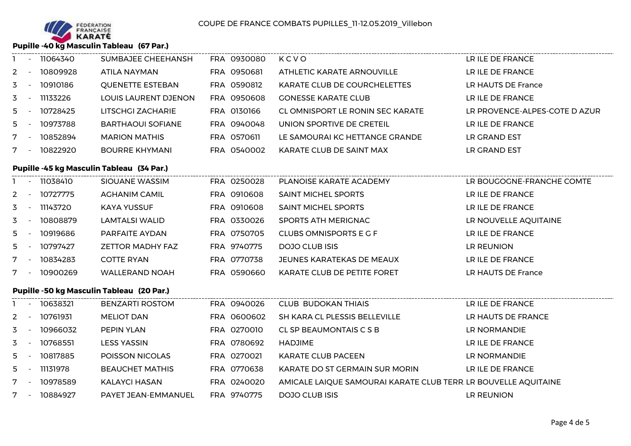

**Pupille -40 kg Masculin Tableau (67 Par.)**

|       | 11064340 | SUMBAJEE CHEEHANSH       | FRA 0930080 | KCVO                             | LR ILE DE FRANCE              |
|-------|----------|--------------------------|-------------|----------------------------------|-------------------------------|
| $2 -$ | 10809928 | ATILA NAYMAN             | FRA 0950681 | ATHLETIC KARATE ARNOUVILLE       | LR ILE DE FRANCE              |
| 3     | 10910186 | <b>QUENETTE ESTEBAN</b>  | FRA 0590812 | KARATE CLUB DE COURCHELETTES     | LR HAUTS DE France            |
| 3     | 11133226 | LOUIS LAURENT DJENON     | FRA 0950608 | <b>GONESSE KARATE CLUB</b>       | LR ILE DE FRANCE              |
| $5 -$ | 10728425 | <b>LITSCHGI ZACHARIE</b> | FRA 0130166 | CL OMNISPORT LE RONIN SEC KARATE | LR PROVENCE-ALPES-COTE D AZUR |
| $5 -$ | 10973788 | <b>BARTHAOUI SOFIANE</b> | FRA 0940048 | UNION SPORTIVE DE CRETEIL        | LR ILE DE FRANCE              |
|       | 10852894 | <b>MARION MATHIS</b>     | FRA 0570611 | LE SAMOURAI KC HETTANGE GRANDE   | LR GRAND EST                  |
|       | 10822920 | <b>BOURRE KHYMANI</b>    | FRA 0540002 | KARATE CLUB DE SAINT MAX         | LR GRAND EST                  |

## **Pupille -45 kg Masculin Tableau (34 Par.)**

|       | 11038410 | SIOUANE WASSIM          | FRA 0250028 | PLANOISE KARATE ACADEMY            | LR BOUGOGNE-FRANCHE COMTE |
|-------|----------|-------------------------|-------------|------------------------------------|---------------------------|
| $2 -$ | 10727775 | <b>AGHANIM CAMIL</b>    | FRA 0910608 | <b>SAINT MICHEL SPORTS</b>         | LR ILE DE FRANCE          |
| $3 -$ | 11143720 | <b>KAYA YUSSUF</b>      | FRA 0910608 | <b>SAINT MICHEL SPORTS</b>         | LR ILE DE FRANCE          |
| $3 -$ | 10808879 | LAMTALSI WALID          | FRA 0330026 | SPORTS ATH MERIGNAC                | LR NOUVELLE AQUITAINE     |
| $5 -$ | 10919686 | PARFAITE AYDAN          | FRA 0750705 | CLUBS OMNISPORTS E G F             | LR ILE DE FRANCE          |
| $5 -$ | 10797427 | <b>ZETTOR MADHY FAZ</b> | FRA 9740775 | DOJO CLUB ISIS                     | LR REUNION                |
|       | 10834283 | <b>COTTE RYAN</b>       | FRA 0770738 | JEUNES KARATEKAS DE MEAUX          | LR ILE DE FRANCE          |
|       | 10900269 | <b>WALLERAND NOAH</b>   | FRA 0590660 | <b>KARATE CLUB DE PETITE FORET</b> | LR HAUTS DE France        |
|       |          |                         |             |                                    |                           |

### **Pupille -50 kg Masculin Tableau (20 Par.)**

|       | $\overline{\phantom{a}}$ | 10638321 | <b>BENZARTI ROSTOM</b> | FRA 0940026 | <b>CLUB BUDOKAN THIAIS</b>                                      | LR ILE DE FRANCE   |
|-------|--------------------------|----------|------------------------|-------------|-----------------------------------------------------------------|--------------------|
| 2     |                          | 10761931 | <b>MELIOT DAN</b>      | FRA 0600602 | SH KARA CL PLESSIS BELLEVILLE                                   | LR HAUTS DE FRANCE |
| 3     |                          | 10966032 | <b>PEPIN YLAN</b>      | FRA 0270010 | CL SP BEAUMONTAIS C S B                                         | LR NORMANDIE       |
| 3     |                          | 10768551 | <b>LESS YASSIN</b>     | FRA 0780692 | HADJIME                                                         | LR ILE DE FRANCE   |
| 5     |                          | 10817885 | POISSON NICOLAS        | FRA 0270021 | KARATE CLUB PACEEN                                              | LR NORMANDIE       |
| $5 -$ |                          | 11131978 | <b>BEAUCHET MATHIS</b> | FRA 0770638 | KARATE DO ST GERMAIN SUR MORIN                                  | LR ILE DE FRANCE   |
| 7     |                          | 10978589 | KALAYCI HASAN          | FRA 0240020 | AMICALE LAIQUE SAMOURAI KARATE CLUB TERR. LR BOUVELLE AQUITAINE |                    |
|       |                          | 10884927 | PAYET JEAN-EMMANUEL    | FRA 9740775 | <b>DOJO CLUB ISIS</b>                                           | LR REUNION         |
|       |                          |          |                        |             |                                                                 |                    |